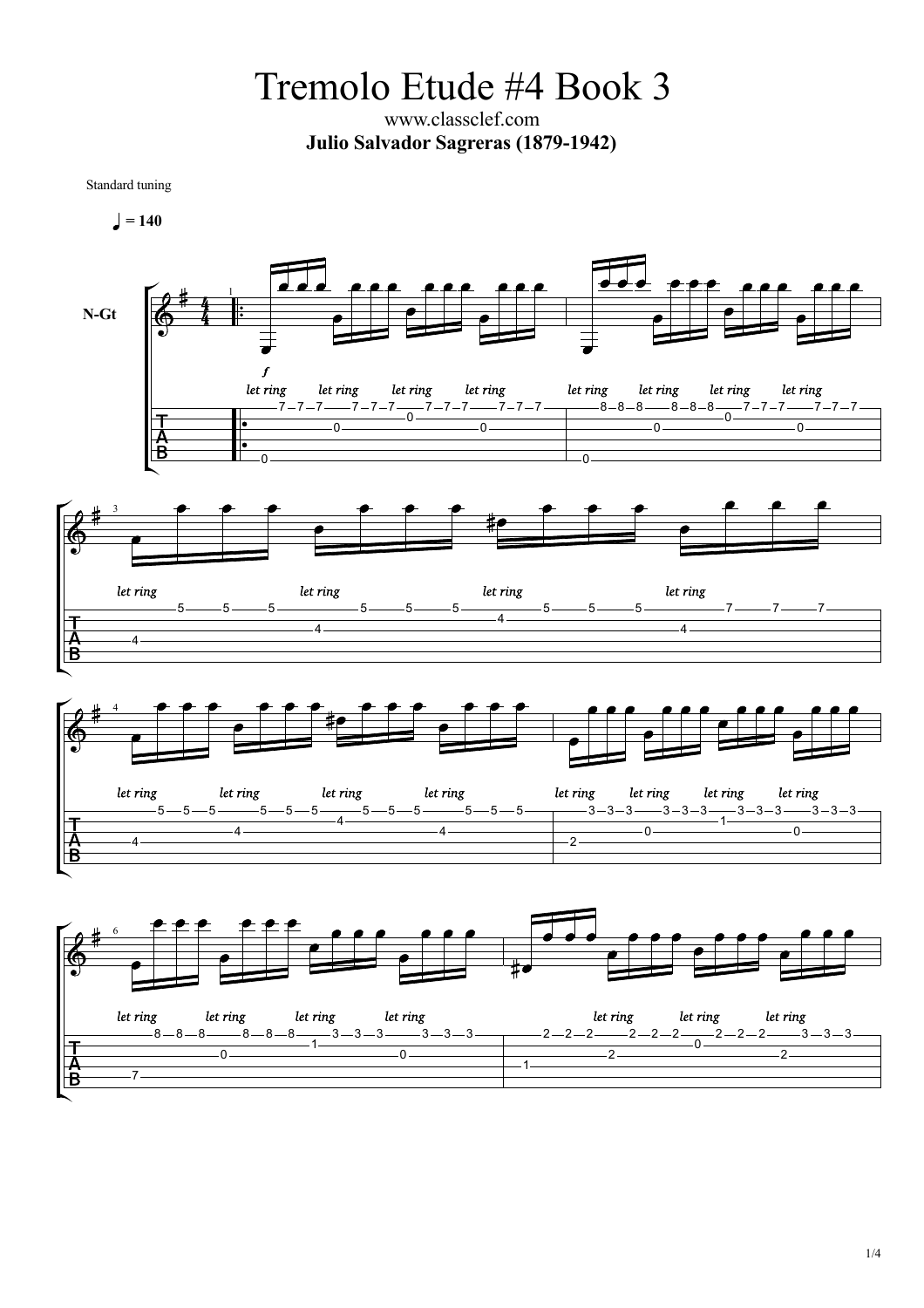Tremolo Etude #4 Book 3

www.classclef.com **Julio Salvador Sagreras (1879-1942)**

Standard tuning



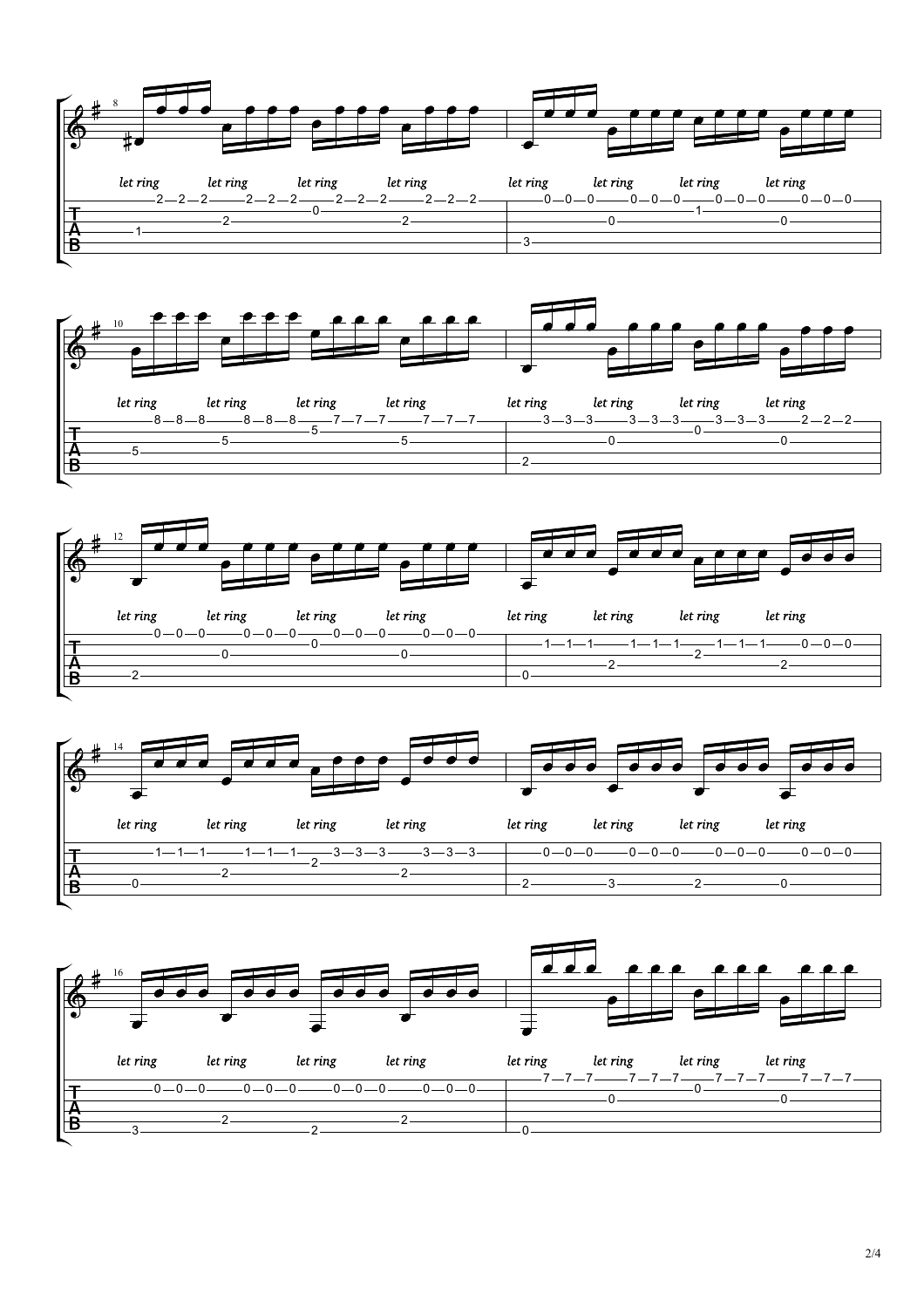







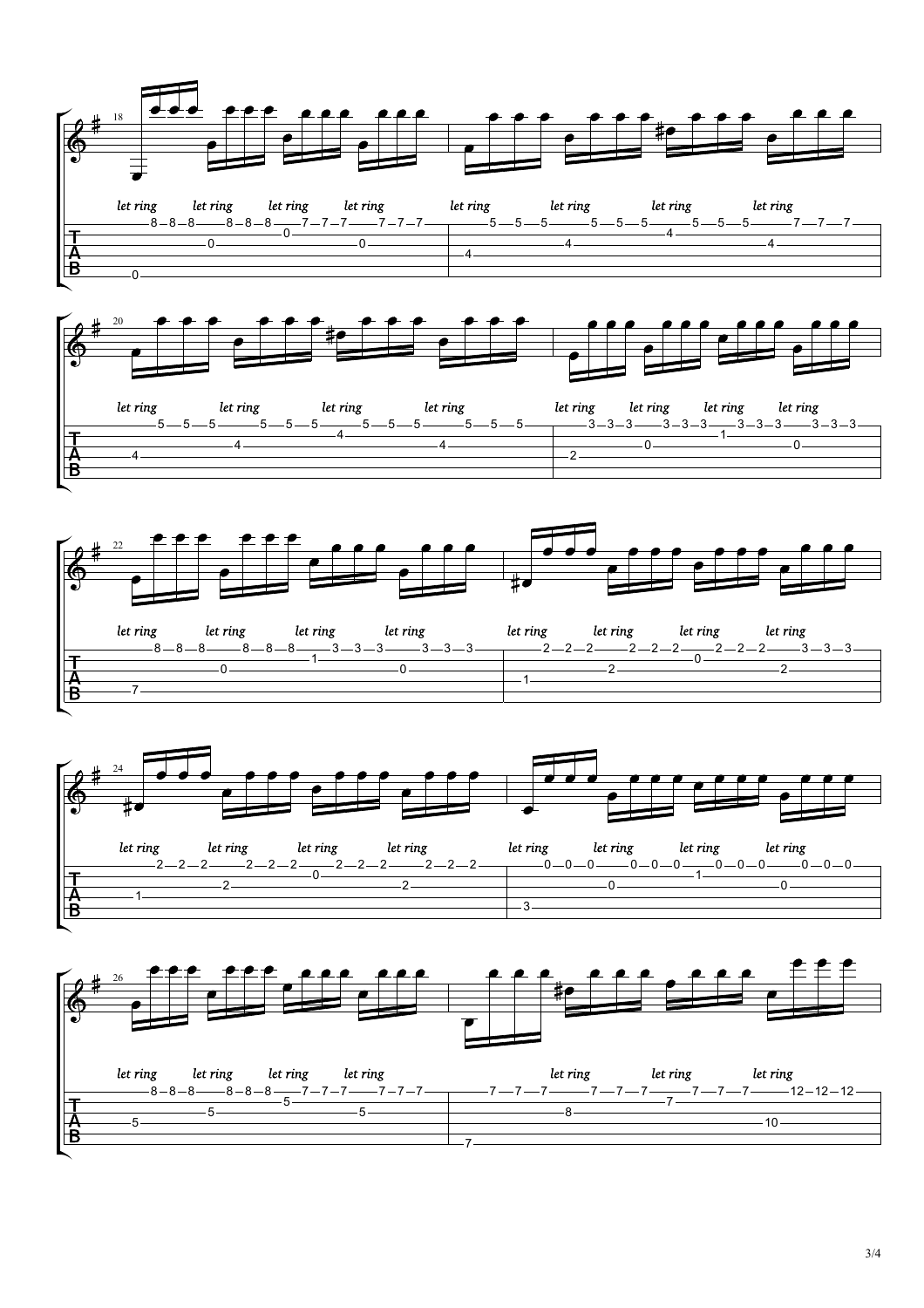